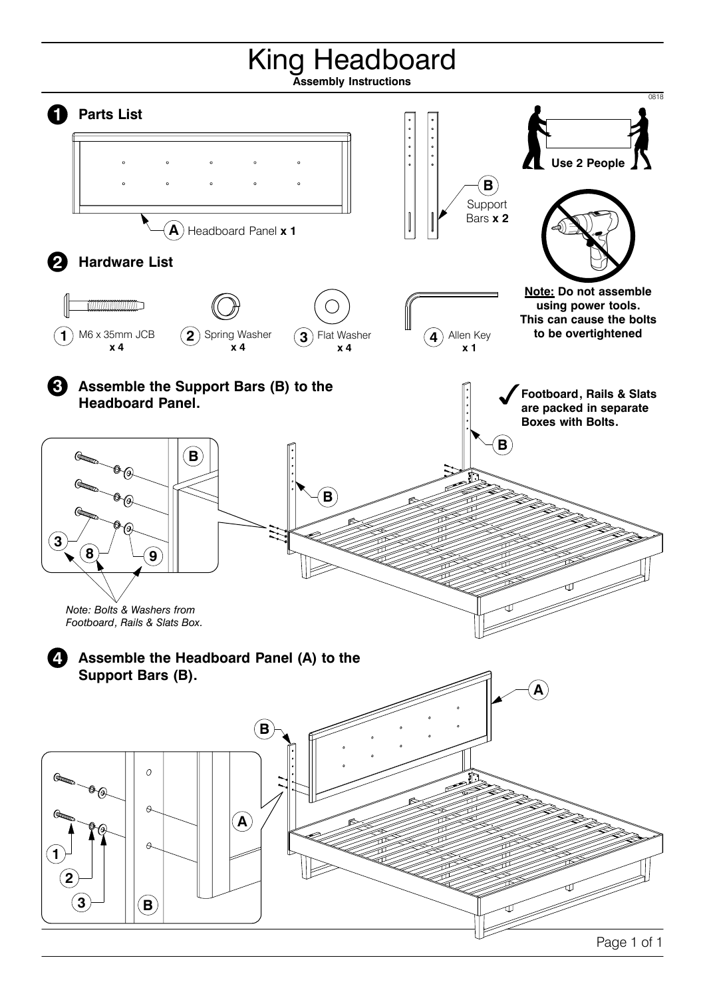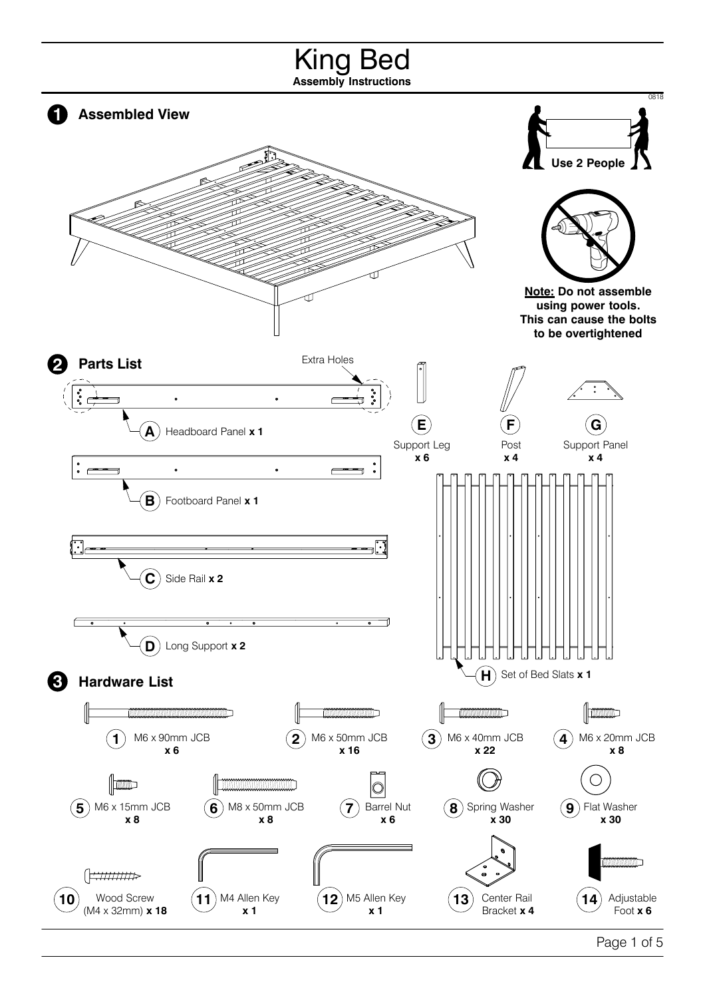## King Bed **Assembly Instructions** 0818 **1 Assembled View Use 2 People Note: Do not assemble using power tools. This can cause the bolts to be overtightened 2 Parts List** Extra Holes  $\ddot{\phantom{0}}$ **E F G A** Headboard Panel **x 1** Support Leg Post Support Panel **x 4 x 6 x 4**  $\ddot{\phantom{0}}$  $\ddot{\phantom{0}}$  $\overline{C}$ **B** Footboard Panel **x 1** П  $\left( \text{C} \right)$  Side Rail **x 2 D** Long Support **x 2**  $\left(\widehat{\mathbf{H}}\right)$  Set of Bed Slats **x 1 3 Hardware List COMMON DISCUSSION CONTINUES**  $\parallel$  municipality  $(4)$  M6 x 20mm JCB **3** M6 x 40mm JCB **1** M6 x 90mm JCB **2** M6 x 50mm JCB **x 6 x 16 x 22 x 8**  $\mathbb{R}$  $\|$  =  $\|$  =  $\|$  =  $\|$  =  $\|$  =  $\|$  =  $\|$  =  $\|$  =  $\|$  =  $\|$  =  $\|$  =  $\|$  =  $\|$  =  $\|$  =  $\|$  =  $\|$  =  $\|$  =  $\|$  =  $\|$  =  $\|$  =  $\|$  =  $\|$  =  $\|$  =  $\|$  =  $\|$  =  $\|$  =  $\|$  =  $\|$  =  $\|$  =  $\|$  =  $\|$  =  $\|$ 10 **5** M6 x 15mm JCB **7** Barrel Nut **8** Spring Washer **6** M8 x 50mm JCB **9** Flat Washer **x 6 x 30 x 30 x 8 x 8**  $\left[\frac{1}{2},\frac{1}{2},\frac{1}{2},\frac{1}{2},\frac{1}{2},\frac{1}{2},\frac{1}{2},\frac{1}{2},\frac{1}{2},\frac{1}{2},\frac{1}{2},\frac{1}{2},\frac{1}{2},\frac{1}{2},\frac{1}{2},\frac{1}{2},\frac{1}{2},\frac{1}{2},\frac{1}{2},\frac{1}{2},\frac{1}{2},\frac{1}{2},\frac{1}{2},\frac{1}{2},\frac{1}{2},\frac{1}{2},\frac{1}{2},\frac{1}{2},\frac{1}{2},\frac{1}{2},\frac{1}{2},\$ **12**) M5 Allen Key **10** Wood Screw **11** M4 Allen Key **13** Center Rail **14** Adjustable (M4 x 32mm) **x 18 x 1 x 1** Bracket **x 4** Foot **x 6**

Page 1 of 5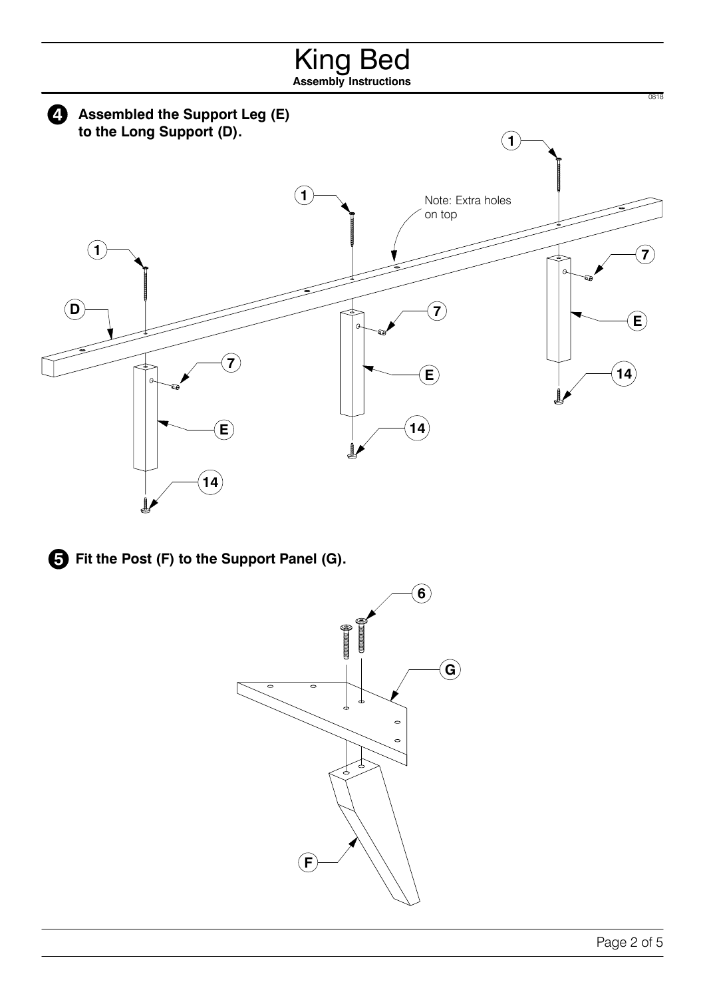



**5 Fit the Post (F) to the Support Panel (G).**

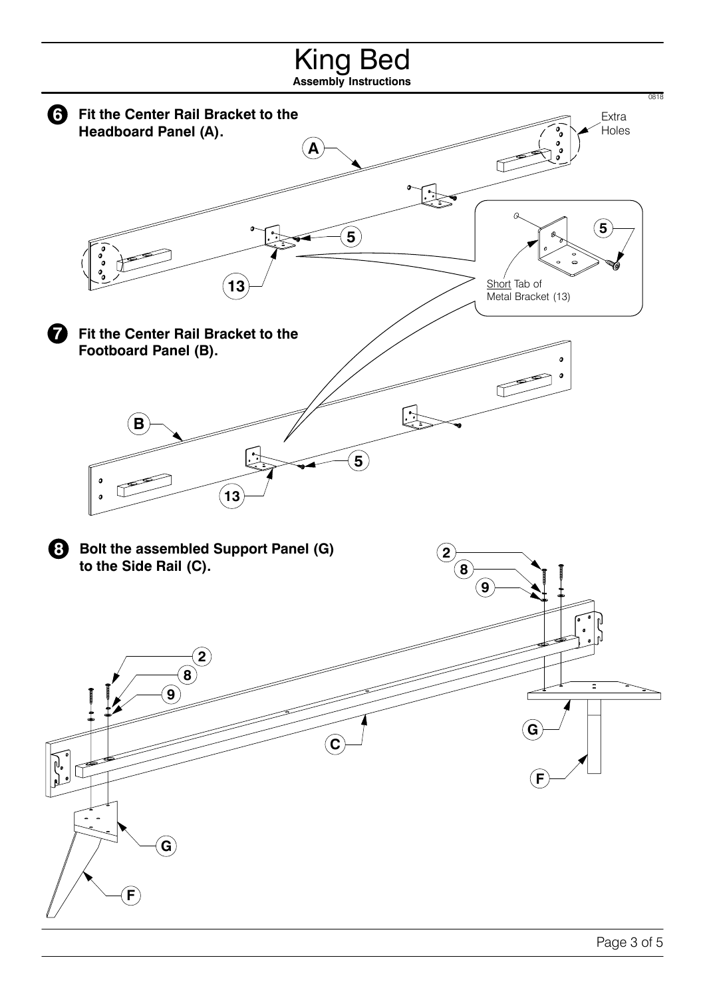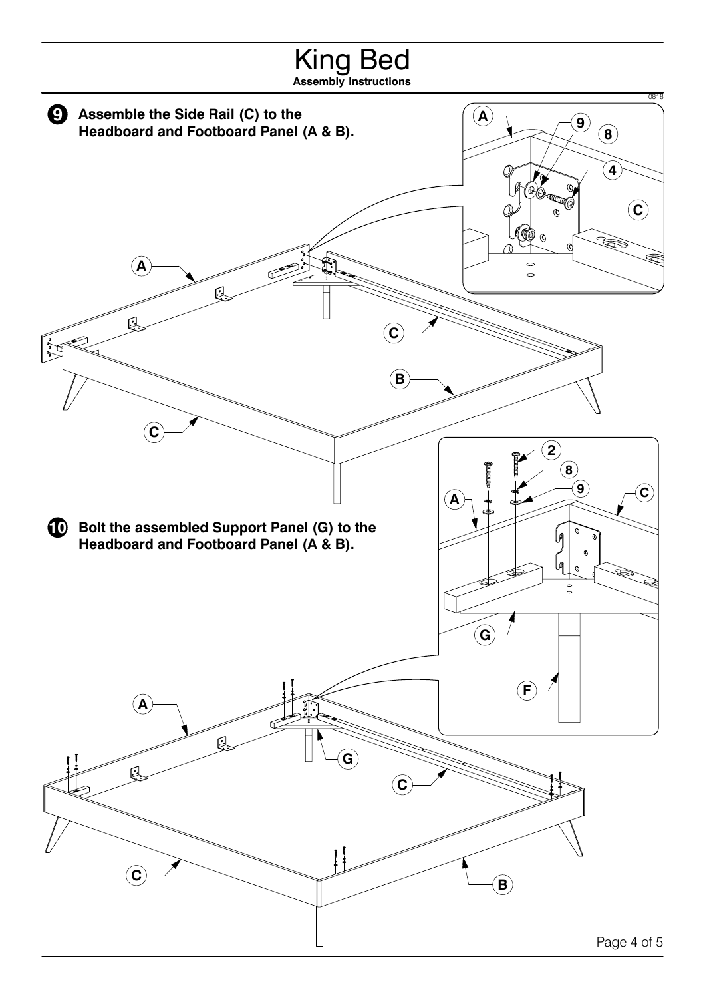